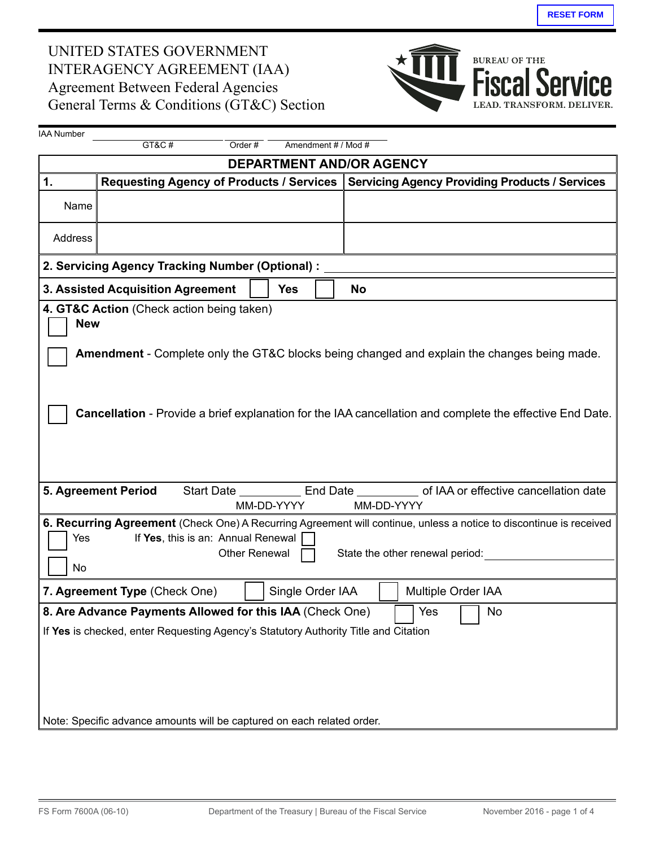## UNITED STATES GOVERNMENT interagency agreement (iaa) agreement Between Federal agencies General Terms & Conditions (GT&C) Section



| <b>IAA Number</b>                                                                                                                                                                                                                                                                                                                                                                                                                                                    |                     |  |            |  |                                                                                                  |  |  |
|----------------------------------------------------------------------------------------------------------------------------------------------------------------------------------------------------------------------------------------------------------------------------------------------------------------------------------------------------------------------------------------------------------------------------------------------------------------------|---------------------|--|------------|--|--------------------------------------------------------------------------------------------------|--|--|
|                                                                                                                                                                                                                                                                                                                                                                                                                                                                      | GT&C#<br>Order#     |  |            |  | Amendment # / Mod #                                                                              |  |  |
| <b>DEPARTMENT AND/OR AGENCY</b>                                                                                                                                                                                                                                                                                                                                                                                                                                      |                     |  |            |  |                                                                                                  |  |  |
| 1.                                                                                                                                                                                                                                                                                                                                                                                                                                                                   |                     |  |            |  | Requesting Agency of Products / Services   Servicing Agency Providing Products / Services        |  |  |
| Name                                                                                                                                                                                                                                                                                                                                                                                                                                                                 |                     |  |            |  |                                                                                                  |  |  |
| Address                                                                                                                                                                                                                                                                                                                                                                                                                                                              |                     |  |            |  |                                                                                                  |  |  |
| 2. Servicing Agency Tracking Number (Optional) :                                                                                                                                                                                                                                                                                                                                                                                                                     |                     |  |            |  |                                                                                                  |  |  |
| 3. Assisted Acquisition Agreement<br><b>Yes</b>                                                                                                                                                                                                                                                                                                                                                                                                                      |                     |  |            |  | <b>No</b>                                                                                        |  |  |
| 4. GT&C Action (Check action being taken)<br><b>New</b><br><b>Amendment</b> - Complete only the GT&C blocks being changed and explain the changes being made.<br>Cancellation - Provide a brief explanation for the IAA cancellation and complete the effective End Date.                                                                                                                                                                                            |                     |  |            |  |                                                                                                  |  |  |
|                                                                                                                                                                                                                                                                                                                                                                                                                                                                      | 5. Agreement Period |  | MM-DD-YYYY |  | Start Date ____________ End Date ___________ of IAA or effective cancellation date<br>MM-DD-YYYY |  |  |
| 6. Recurring Agreement (Check One) A Recurring Agreement will continue, unless a notice to discontinue is received<br>If Yes, this is an: Annual Renewal<br>Yes<br>Other Renewal<br>State the other renewal period:<br>No<br>Single Order IAA<br>Multiple Order IAA<br>7. Agreement Type (Check One)<br>8. Are Advance Payments Allowed for this IAA (Check One)<br>No<br>Yes<br>If Yes is checked, enter Requesting Agency's Statutory Authority Title and Citation |                     |  |            |  |                                                                                                  |  |  |
| Note: Specific advance amounts will be captured on each related order.                                                                                                                                                                                                                                                                                                                                                                                               |                     |  |            |  |                                                                                                  |  |  |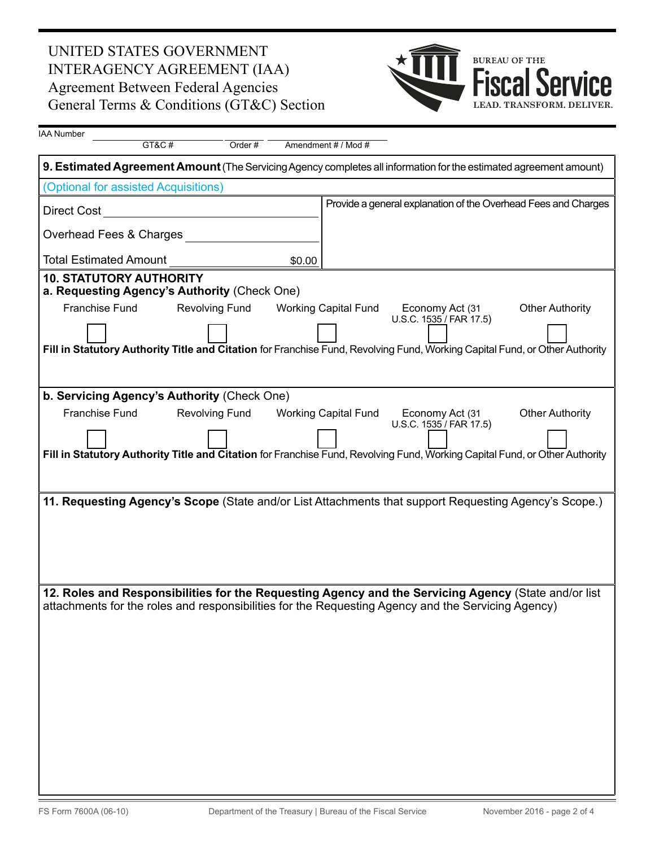## UNITED STATES GOVERNMENT interagency agreement (iaa) agreement Between Federal agencies General Terms & Conditions (GT&C) Section



| <b>IAA Number</b>                                                                                  | GT&C#                   | Order $#$             |        | Amendment # / Mod #         |                 |                                            |                                                                                                                                                       |  |
|----------------------------------------------------------------------------------------------------|-------------------------|-----------------------|--------|-----------------------------|-----------------|--------------------------------------------|-------------------------------------------------------------------------------------------------------------------------------------------------------|--|
|                                                                                                    |                         |                       |        |                             |                 |                                            | 9. Estimated Agreement Amount (The Servicing Agency completes all information for the estimated agreement amount)                                     |  |
| (Optional for assisted Acquisitions)                                                               |                         |                       |        |                             |                 |                                            |                                                                                                                                                       |  |
| Direct Cost                                                                                        |                         |                       |        |                             |                 |                                            | Provide a general explanation of the Overhead Fees and Charges                                                                                        |  |
|                                                                                                    | Overhead Fees & Charges |                       |        |                             |                 |                                            |                                                                                                                                                       |  |
| <b>Total Estimated Amount</b>                                                                      |                         |                       | \$0.00 |                             |                 |                                            |                                                                                                                                                       |  |
| <b>10. STATUTORY AUTHORITY</b><br>a. Requesting Agency's Authority (Check One)                     |                         |                       |        |                             |                 |                                            |                                                                                                                                                       |  |
| Franchise Fund                                                                                     |                         | <b>Revolving Fund</b> |        | <b>Working Capital Fund</b> |                 | Economy Act (31<br>U.S.C. 1535 / FAR 17.5) | <b>Other Authority</b><br>Fill in Statutory Authority Title and Citation for Franchise Fund, Revolving Fund, Working Capital Fund, or Other Authority |  |
|                                                                                                    |                         |                       |        |                             |                 |                                            |                                                                                                                                                       |  |
| b. Servicing Agency's Authority (Check One)                                                        |                         |                       |        |                             |                 |                                            |                                                                                                                                                       |  |
| Franchise Fund                                                                                     |                         | <b>Revolving Fund</b> |        | <b>Working Capital Fund</b> | Economy Act (31 | U.S.C. 1535 / FAR 17.5)                    | <b>Other Authority</b>                                                                                                                                |  |
|                                                                                                    |                         |                       |        |                             |                 |                                            | Fill in Statutory Authority Title and Citation for Franchise Fund, Revolving Fund, Working Capital Fund, or Other Authority                           |  |
|                                                                                                    |                         |                       |        |                             |                 |                                            | 11. Requesting Agency's Scope (State and/or List Attachments that support Requesting Agency's Scope.)                                                 |  |
| attachments for the roles and responsibilities for the Requesting Agency and the Servicing Agency) |                         |                       |        |                             |                 |                                            | 12. Roles and Responsibilities for the Requesting Agency and the Servicing Agency (State and/or list                                                  |  |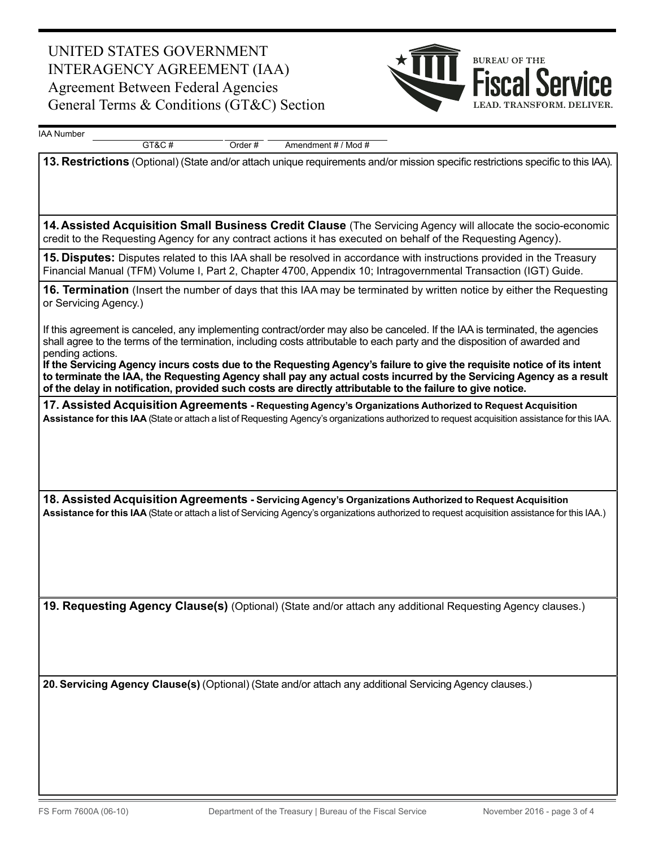## United StateS government interagency agreement (iaa) **Agreement Between Federal Agencies** General Terms  $& Conditions (GT&C) Section$



IAA Number

 $GT&C#$  Order  $#$  Amendment  $#/$  Mod  $#$ 

**13. Restrictions** (Optional) (State and/or attach unique requirements and/or mission specific restrictions specific to this IAA).

**14.Assisted Acquisition Small Business Credit Clause** (The Servicing Agency will allocate the socio-economic credit to the Requesting Agency for any contract actions it has executed on behalf of the Requesting Agency).

**15. Disputes:** Disputes related to this IAA shall be resolved in accordance with instructions provided in the Treasury Financial Manual (TFM) Volume I, Part 2, Chapter 4700, Appendix 10; Intragovernmental Transaction (IGT) Guide.

**16. Termination** (Insert the number of days that this IAA may be terminated by written notice by either the Requesting or Servicing Agency.)

If this agreement is canceled, any implementing contract/order may also be canceled. If the IAA is terminated, the agencies shall agree to the terms of the termination, including costs attributable to each party and the disposition of awarded and pending actions.

If the Servicing Agency incurs costs due to the Requesting Agency's failure to give the requisite notice of its intent to terminate the IAA, the Requesting Agency shall pay any actual costs incurred by the Servicing Agency as a result of the delay in notification, provided such costs are directly attributable to the failure to give notice.

**17. Assisted Acquisition Agreements Requesting Agency's Organizations Authorized to Request Acquisition - Assistance for this IAA** (State or attach a list of Requesting Agency's organizations authorized to request acquisition assistance for this IAA.

**18. Assisted Acquisition Agreements Servicing Agency's Organizations Authorized to Request Acquisition - Assistance for this IAA** (State or attach a list of Servicing Agency's organizations authorized to request acquisition assistance for this IAA.)

**19. Requesting Agency Clause(s)** (Optional) (State and/or attach any additional Requesting Agency clauses.)

**20. Servicing Agency Clause(s)** (Optional) (State and/or attach any additional Servicing Agency clauses.)